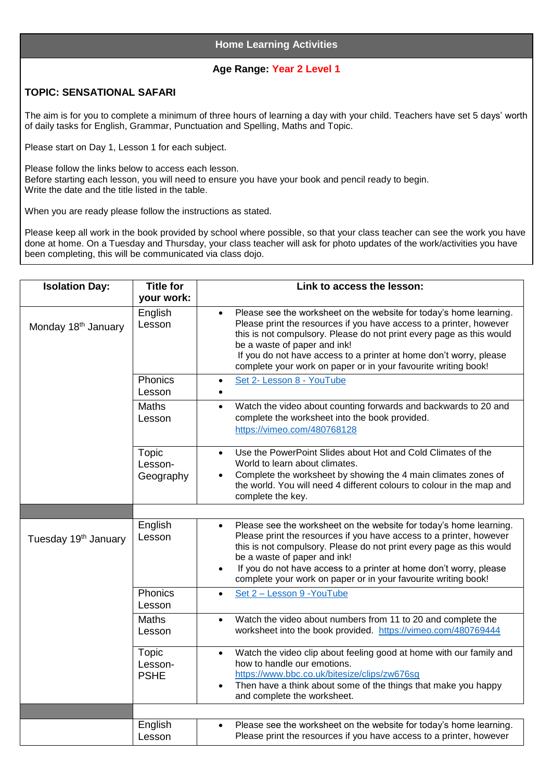## **Age Range: Year 2 Level 1**

## **TOPIC: SENSATIONAL SAFARI**

The aim is for you to complete a minimum of three hours of learning a day with your child. Teachers have set 5 days' worth of daily tasks for English, Grammar, Punctuation and Spelling, Maths and Topic.

Please start on Day 1, Lesson 1 for each subject.

Please follow the links below to access each lesson. Before starting each lesson, you will need to ensure you have your book and pencil ready to begin. Write the date and the title listed in the table.

When you are ready please follow the instructions as stated.

Please keep all work in the book provided by school where possible, so that your class teacher can see the work you have done at home. On a Tuesday and Thursday, your class teacher will ask for photo updates of the work/activities you have been completing, this will be communicated via class dojo.

| <b>Isolation Day:</b>            | <b>Title for</b><br>your work:  | Link to access the lesson:                                                                                                                                                                                                                                                                                                                                                                                          |
|----------------------------------|---------------------------------|---------------------------------------------------------------------------------------------------------------------------------------------------------------------------------------------------------------------------------------------------------------------------------------------------------------------------------------------------------------------------------------------------------------------|
| Monday 18 <sup>th</sup> January  | English<br>Lesson               | Please see the worksheet on the website for today's home learning.<br>$\bullet$<br>Please print the resources if you have access to a printer, however<br>this is not compulsory. Please do not print every page as this would<br>be a waste of paper and ink!<br>If you do not have access to a printer at home don't worry, please<br>complete your work on paper or in your favourite writing book!              |
|                                  | Phonics<br>Lesson               | Set 2- Lesson 8 - YouTube<br>$\bullet$<br>$\bullet$                                                                                                                                                                                                                                                                                                                                                                 |
|                                  | <b>Maths</b><br>Lesson          | Watch the video about counting forwards and backwards to 20 and<br>$\bullet$<br>complete the worksheet into the book provided.<br>https://vimeo.com/480768128                                                                                                                                                                                                                                                       |
|                                  | Topic<br>Lesson-<br>Geography   | Use the PowerPoint Slides about Hot and Cold Climates of the<br>$\bullet$<br>World to learn about climates.<br>Complete the worksheet by showing the 4 main climates zones of<br>the world. You will need 4 different colours to colour in the map and<br>complete the key.                                                                                                                                         |
|                                  |                                 |                                                                                                                                                                                                                                                                                                                                                                                                                     |
| Tuesday 19 <sup>th</sup> January | English<br>Lesson               | Please see the worksheet on the website for today's home learning.<br>$\bullet$<br>Please print the resources if you have access to a printer, however<br>this is not compulsory. Please do not print every page as this would<br>be a waste of paper and ink!<br>If you do not have access to a printer at home don't worry, please<br>$\bullet$<br>complete your work on paper or in your favourite writing book! |
|                                  | Phonics<br>Lesson               | Set 2 - Lesson 9 - YouTube<br>$\bullet$                                                                                                                                                                                                                                                                                                                                                                             |
|                                  | <b>Maths</b><br>Lesson          | Watch the video about numbers from 11 to 20 and complete the<br>$\bullet$<br>worksheet into the book provided. https://vimeo.com/480769444                                                                                                                                                                                                                                                                          |
|                                  | Topic<br>Lesson-<br><b>PSHE</b> | Watch the video clip about feeling good at home with our family and<br>$\bullet$<br>how to handle our emotions.<br>https://www.bbc.co.uk/bitesize/clips/zw676sg<br>Then have a think about some of the things that make you happy<br>$\bullet$<br>and complete the worksheet.                                                                                                                                       |
|                                  |                                 |                                                                                                                                                                                                                                                                                                                                                                                                                     |
|                                  | English<br>Lesson               | Please see the worksheet on the website for today's home learning.<br>$\bullet$<br>Please print the resources if you have access to a printer, however                                                                                                                                                                                                                                                              |